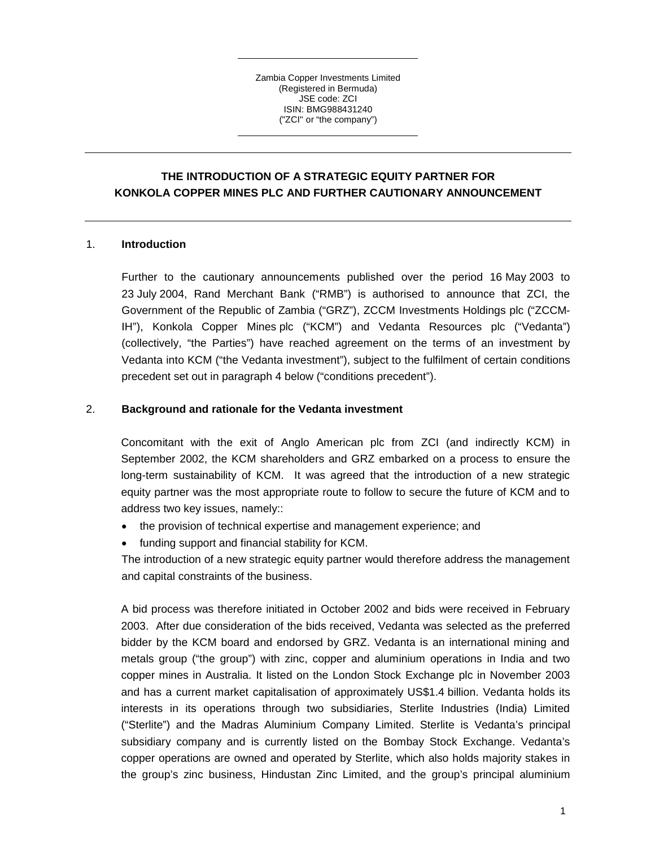Zambia Copper Investments Limited (Registered in Bermuda) JSE code: ZCI ISIN: BMG988431240 ("ZCI" or "the company")

# **THE INTRODUCTION OF A STRATEGIC EQUITY PARTNER FOR KONKOLA COPPER MINES PLC AND FURTHER CAUTIONARY ANNOUNCEMENT**

### 1. **Introduction**

Further to the cautionary announcements published over the period 16 May 2003 to 23 July 2004, Rand Merchant Bank ("RMB") is authorised to announce that ZCI, the Government of the Republic of Zambia ("GRZ"), ZCCM Investments Holdings plc ("ZCCM-IH"), Konkola Copper Mines plc ("KCM") and Vedanta Resources plc ("Vedanta") (collectively, "the Parties") have reached agreement on the terms of an investment by Vedanta into KCM ("the Vedanta investment"), subject to the fulfilment of certain conditions precedent set out in paragraph 4 below ("conditions precedent").

### 2. **Background and rationale for the Vedanta investment**

Concomitant with the exit of Anglo American plc from ZCI (and indirectly KCM) in September 2002, the KCM shareholders and GRZ embarked on a process to ensure the long-term sustainability of KCM. It was agreed that the introduction of a new strategic equity partner was the most appropriate route to follow to secure the future of KCM and to address two key issues, namely::

- the provision of technical expertise and management experience; and
- funding support and financial stability for KCM.

The introduction of a new strategic equity partner would therefore address the management and capital constraints of the business.

A bid process was therefore initiated in October 2002 and bids were received in February 2003. After due consideration of the bids received, Vedanta was selected as the preferred bidder by the KCM board and endorsed by GRZ. Vedanta is an international mining and metals group ("the group") with zinc, copper and aluminium operations in India and two copper mines in Australia. It listed on the London Stock Exchange plc in November 2003 and has a current market capitalisation of approximately US\$1.4 billion. Vedanta holds its interests in its operations through two subsidiaries, Sterlite Industries (India) Limited ("Sterlite") and the Madras Aluminium Company Limited. Sterlite is Vedanta's principal subsidiary company and is currently listed on the Bombay Stock Exchange. Vedanta's copper operations are owned and operated by Sterlite, which also holds majority stakes in the group's zinc business, Hindustan Zinc Limited, and the group's principal aluminium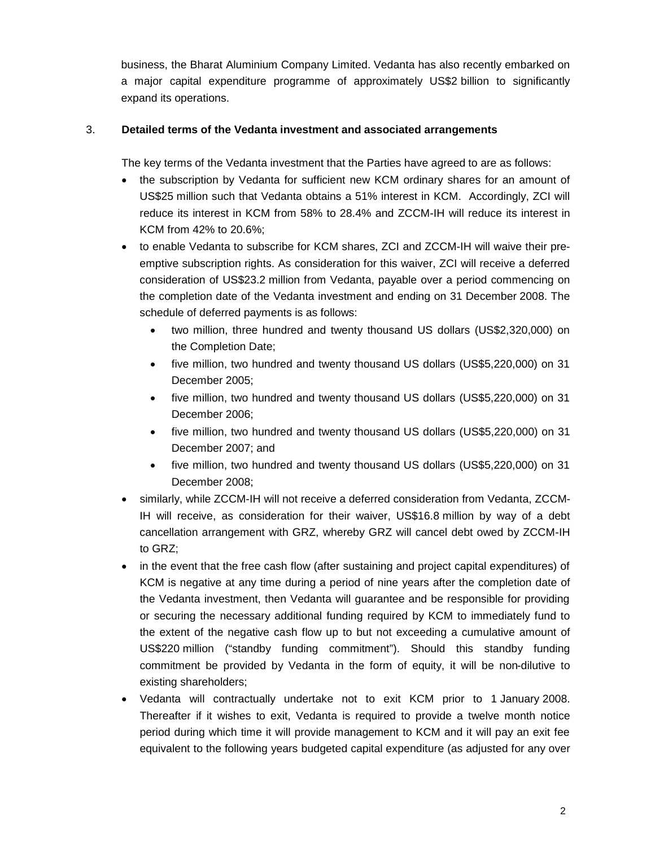business, the Bharat Aluminium Company Limited. Vedanta has also recently embarked on a major capital expenditure programme of approximately US\$2 billion to significantly expand its operations.

# 3. **Detailed terms of the Vedanta investment and associated arrangements**

The key terms of the Vedanta investment that the Parties have agreed to are as follows:

- the subscription by Vedanta for sufficient new KCM ordinary shares for an amount of US\$25 million such that Vedanta obtains a 51% interest in KCM. Accordingly, ZCI will reduce its interest in KCM from 58% to 28.4% and ZCCM-IH will reduce its interest in KCM from 42% to 20.6%;
- to enable Vedanta to subscribe for KCM shares, ZCI and ZCCM-IH will waive their preemptive subscription rights. As consideration for this waiver, ZCI will receive a deferred consideration of US\$23.2 million from Vedanta, payable over a period commencing on the completion date of the Vedanta investment and ending on 31 December 2008. The schedule of deferred payments is as follows:
	- two million, three hundred and twenty thousand US dollars (US\$2,320,000) on the Completion Date;
	- five million, two hundred and twenty thousand US dollars (US\$5,220,000) on 31 December 2005;
	- five million, two hundred and twenty thousand US dollars (US\$5,220,000) on 31 December 2006;
	- five million, two hundred and twenty thousand US dollars (US\$5,220,000) on 31 December 2007; and
	- five million, two hundred and twenty thousand US dollars (US\$5,220,000) on 31 December 2008;
- similarly, while ZCCM-IH will not receive a deferred consideration from Vedanta, ZCCM-IH will receive, as consideration for their waiver, US\$16.8 million by way of a debt cancellation arrangement with GRZ, whereby GRZ will cancel debt owed by ZCCM-IH to GRZ;
- in the event that the free cash flow (after sustaining and project capital expenditures) of KCM is negative at any time during a period of nine years after the completion date of the Vedanta investment, then Vedanta will guarantee and be responsible for providing or securing the necessary additional funding required by KCM to immediately fund to the extent of the negative cash flow up to but not exceeding a cumulative amount of US\$220 million ("standby funding commitment"). Should this standby funding commitment be provided by Vedanta in the form of equity, it will be non-dilutive to existing shareholders;
- Vedanta will contractually undertake not to exit KCM prior to 1 January 2008. Thereafter if it wishes to exit, Vedanta is required to provide a twelve month notice period during which time it will provide management to KCM and it will pay an exit fee equivalent to the following years budgeted capital expenditure (as adjusted for any over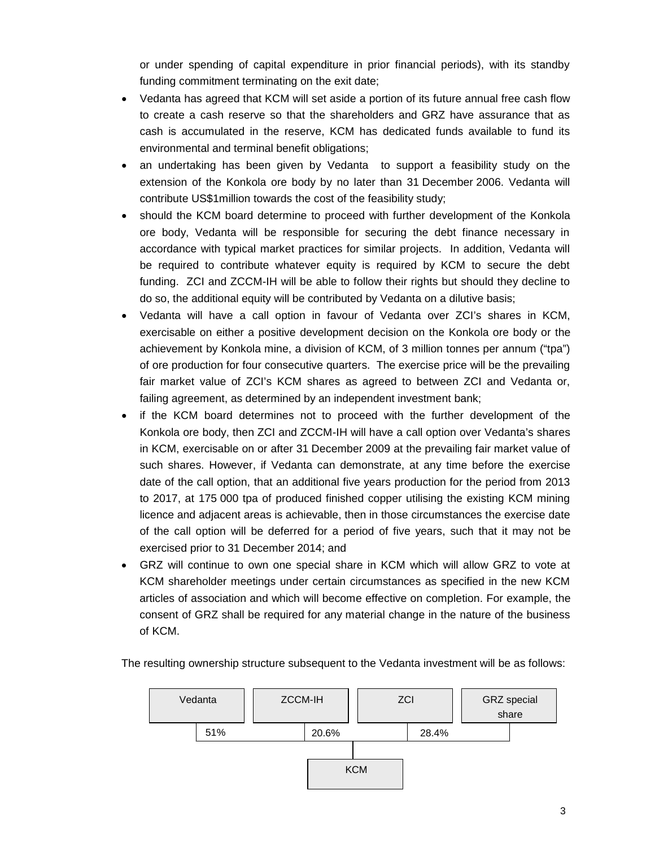or under spending of capital expenditure in prior financial periods), with its standby funding commitment terminating on the exit date;

- Vedanta has agreed that KCM will set aside a portion of its future annual free cash flow to create a cash reserve so that the shareholders and GRZ have assurance that as cash is accumulated in the reserve, KCM has dedicated funds available to fund its environmental and terminal benefit obligations;
- an undertaking has been given by Vedanta to support a feasibility study on the extension of the Konkola ore body by no later than 31 December 2006. Vedanta will contribute US\$1million towards the cost of the feasibility study;
- should the KCM board determine to proceed with further development of the Konkola ore body, Vedanta will be responsible for securing the debt finance necessary in accordance with typical market practices for similar projects. In addition, Vedanta will be required to contribute whatever equity is required by KCM to secure the debt funding. ZCI and ZCCM-IH will be able to follow their rights but should they decline to do so, the additional equity will be contributed by Vedanta on a dilutive basis;
- Vedanta will have a call option in favour of Vedanta over ZCI's shares in KCM, exercisable on either a positive development decision on the Konkola ore body or the achievement by Konkola mine, a division of KCM, of 3 million tonnes per annum ("tpa") of ore production for four consecutive quarters. The exercise price will be the prevailing fair market value of ZCI's KCM shares as agreed to between ZCI and Vedanta or, failing agreement, as determined by an independent investment bank;
- if the KCM board determines not to proceed with the further development of the Konkola ore body, then ZCI and ZCCM-IH will have a call option over Vedanta's shares in KCM, exercisable on or after 31 December 2009 at the prevailing fair market value of such shares. However, if Vedanta can demonstrate, at any time before the exercise date of the call option, that an additional five years production for the period from 2013 to 2017, at 175 000 tpa of produced finished copper utilising the existing KCM mining licence and adjacent areas is achievable, then in those circumstances the exercise date of the call option will be deferred for a period of five years, such that it may not be exercised prior to 31 December 2014; and
- GRZ will continue to own one special share in KCM which will allow GRZ to vote at KCM shareholder meetings under certain circumstances as specified in the new KCM articles of association and which will become effective on completion. For example, the consent of GRZ shall be required for any material change in the nature of the business of KCM.

The resulting ownership structure subsequent to the Vedanta investment will be as follows:

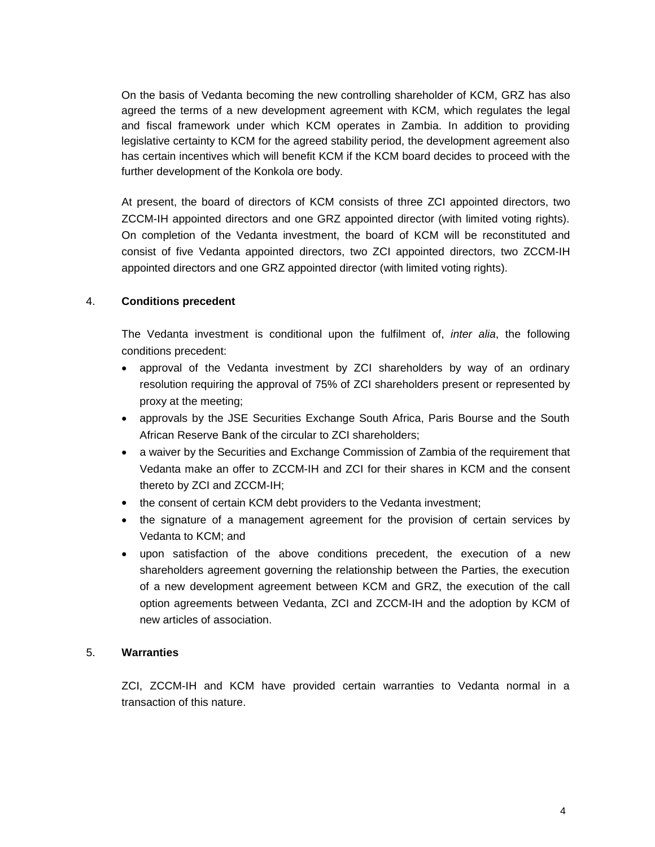On the basis of Vedanta becoming the new controlling shareholder of KCM, GRZ has also agreed the terms of a new development agreement with KCM, which regulates the legal and fiscal framework under which KCM operates in Zambia. In addition to providing legislative certainty to KCM for the agreed stability period, the development agreement also has certain incentives which will benefit KCM if the KCM board decides to proceed with the further development of the Konkola ore body.

At present, the board of directors of KCM consists of three ZCI appointed directors, two ZCCM-IH appointed directors and one GRZ appointed director (with limited voting rights). On completion of the Vedanta investment, the board of KCM will be reconstituted and consist of five Vedanta appointed directors, two ZCI appointed directors, two ZCCM-IH appointed directors and one GRZ appointed director (with limited voting rights).

### 4. **Conditions precedent**

The Vedanta investment is conditional upon the fulfilment of, *inter alia*, the following conditions precedent:

- approval of the Vedanta investment by ZCI shareholders by way of an ordinary resolution requiring the approval of 75% of ZCI shareholders present or represented by proxy at the meeting;
- approvals by the JSE Securities Exchange South Africa, Paris Bourse and the South African Reserve Bank of the circular to ZCI shareholders;
- a waiver by the Securities and Exchange Commission of Zambia of the requirement that Vedanta make an offer to ZCCM-IH and ZCI for their shares in KCM and the consent thereto by ZCI and ZCCM-IH;
- the consent of certain KCM debt providers to the Vedanta investment;
- the signature of a management agreement for the provision of certain services by Vedanta to KCM; and
- upon satisfaction of the above conditions precedent, the execution of a new shareholders agreement governing the relationship between the Parties, the execution of a new development agreement between KCM and GRZ, the execution of the call option agreements between Vedanta, ZCI and ZCCM-IH and the adoption by KCM of new articles of association.

### 5. **Warranties**

ZCI, ZCCM-IH and KCM have provided certain warranties to Vedanta normal in a transaction of this nature.